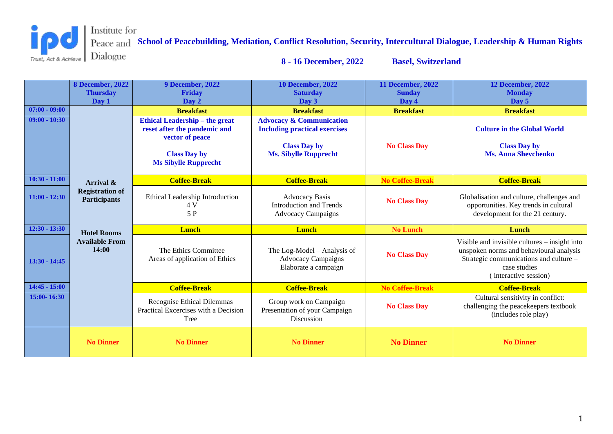

**School of Peacebuilding, Mediation, Conflict Resolution, Security, Intercultural Dialogue, Leadership & Human Rights 8 - 16 December, 2022 Basel, Switzerland**

|                 | <b>8 December, 2022</b><br><b>Thursday</b><br>Day 1 | <b>9 December, 2022</b><br><b>Friday</b><br>Day 2                                                                                              | <b>10 December, 2022</b><br><b>Saturday</b><br>Day 3                                                                               | <b>11 December, 2022</b><br><b>Sunday</b><br>Day 4 | <b>12 December, 2022</b><br><b>Monday</b><br>Day 5                                                                                                                          |
|-----------------|-----------------------------------------------------|------------------------------------------------------------------------------------------------------------------------------------------------|------------------------------------------------------------------------------------------------------------------------------------|----------------------------------------------------|-----------------------------------------------------------------------------------------------------------------------------------------------------------------------------|
| $07:00 - 09:00$ |                                                     | <b>Breakfast</b>                                                                                                                               | <b>Breakfast</b>                                                                                                                   | <b>Breakfast</b>                                   | <b>Breakfast</b>                                                                                                                                                            |
| $09:00 - 10:30$ |                                                     | <b>Ethical Leadership - the great</b><br>reset after the pandemic and<br>vector of peace<br><b>Class Day by</b><br><b>Ms Sibylle Rupprecht</b> | <b>Advocacy &amp; Communication</b><br><b>Including practical exercises</b><br><b>Class Day by</b><br><b>Ms. Sibylle Rupprecht</b> | <b>No Class Day</b>                                | <b>Culture in the Global World</b><br><b>Class Day by</b><br><b>Ms. Anna Shevchenko</b>                                                                                     |
| $10:30 - 11:00$ | Arrival &                                           | <b>Coffee-Break</b>                                                                                                                            | <b>Coffee-Break</b>                                                                                                                | <b>No Coffee-Break</b>                             | <b>Coffee-Break</b>                                                                                                                                                         |
| $11:00 - 12:30$ | <b>Registration of</b><br><b>Participants</b>       | Ethical Leadership Introduction<br>4 V<br>5 P                                                                                                  | <b>Advocacy Basis</b><br><b>Introduction and Trends</b><br><b>Advocacy Campaigns</b>                                               | <b>No Class Day</b>                                | Globalisation and culture, challenges and<br>opportunities. Key trends in cultural<br>development for the 21 century.                                                       |
| $12:30 - 13:30$ | <b>Hotel Rooms</b>                                  | <b>Lunch</b>                                                                                                                                   | <b>Lunch</b>                                                                                                                       | <b>No Lunch</b>                                    | Lunch                                                                                                                                                                       |
| $13:30 - 14:45$ | <b>Available From</b><br>14:00                      | The Ethics Committee<br>Areas of application of Ethics                                                                                         | The Log-Model - Analysis of<br><b>Advocacy Campaigns</b><br>Elaborate a campaign                                                   | <b>No Class Day</b>                                | Visible and invisible cultures – insight into<br>unspoken norms and behavioural analysis<br>Strategic communications and culture -<br>case studies<br>(interactive session) |
| $14:45 - 15:00$ |                                                     | <b>Coffee-Break</b>                                                                                                                            | <b>Coffee-Break</b>                                                                                                                | <b>No Coffee-Break</b>                             | <b>Coffee-Break</b>                                                                                                                                                         |
| 15:00-16:30     |                                                     | Recognise Ethical Dilemmas<br>Practical Excercises with a Decision<br>Tree                                                                     | Group work on Campaign<br>Presentation of your Campaign<br>Discussion                                                              | <b>No Class Day</b>                                | Cultural sensitivity in conflict:<br>challenging the peacekeepers textbook<br>(includes role play)                                                                          |
|                 | <b>No Dinner</b>                                    | <b>No Dinner</b>                                                                                                                               | <b>No Dinner</b>                                                                                                                   | <b>No Dinner</b>                                   | <b>No Dinner</b>                                                                                                                                                            |